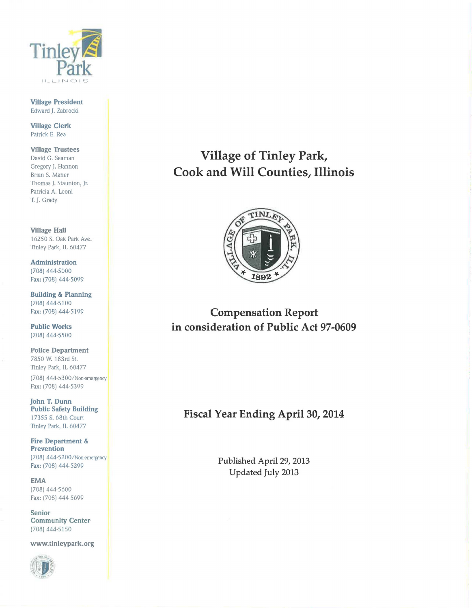

Village President Edward J. Zabrocki

Village Clerk Patrick E. Rea

Village Trustees David G. Seaman Gregory J. Hannon Brian S. Maher Thomas J. Staunton, Jr. Patricia A. Leoni T. J. Grady

Village Hall 16250 S. Oak Park Ave. Tinley Park, IL 60477

Administration (708) 444·5000 Fax: (708) 444·5099

Building & Planning (708) 444-5100 Fax: (708) 444·5199

Public Works (708) 444-5500

Police Department 7850 W. l 83rd St. Tinley Park, IL 60477 (708) 444·5300/Non-emergency Fax: (708) 444.5399

John T. Dunn Public Safety Building I 7355 S. 68th Court Tinley Park, IL 60477

Fire Department & Prevention (708) 444·5200/ Non-emergency Fax: (708) 444·5299

EMA (708) 444-5600 Fax: (708) 444·5699

Senior Community Center (708) 444·5150

www.tinleypark.org



Village of Tinley Park, Cook and Will Counties, Illinois



Compensation Report in consideration of Public Act 97-0609

## Fiscal Year Ending April 30, 2014

Published April 29, 2013 Updated July 2013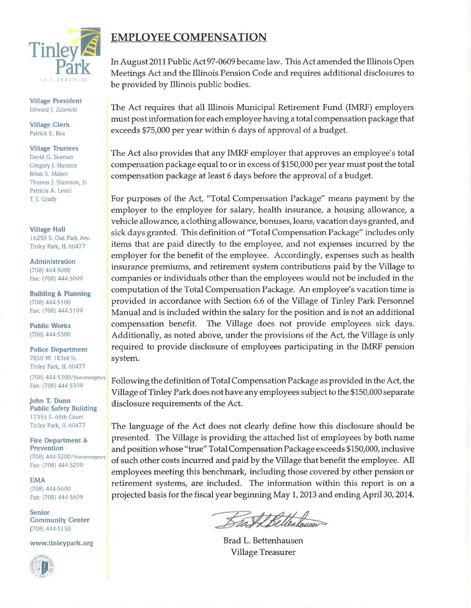

Village President Edward J. Zabrocki

Village Clerk Patrick E. Rea

Village Trustees David G. Seaman Gregory J. Hannon Brian S. Maher Thomas J. Staunton, Jr. Patricia A. Leoni T. J. Grady

Village Hall 16250 S. Oak Park Ave. Tinley Park, IL 60477

Administration (708) 444-5000 Fax: (708) 444-5099

Building & Planning (708) 444-5 I 00 Fax: (708) 444-5199

Public Works (708) 444-5500

Police Department 7850 W. 183rd St. Tinley Park, IL 60477 (708) 444-5300/Non-emeigency Fax: (708) 444.5399

John T. Dunn Public Safety Building 17355 S. 68th Court Tinley Park, IL 60477

Fire Department & Prevention (708) 444-5200/Non-emergency Fax: (708) 444-5299

EMA (708) 444·5600 Fax: (708) 444-5699

Senior Community Center (708) 444·5 I SO

www.tinleypark.org



# **EMPLOYEE COMPENSATION**

In August 2011 Public Act 97-0609 became law. This Act amended the Illinois Open Meetings Act and the Illinois Pension Code and requires additional disclosures to be provided by Illinois public bodies.

The Act requires that all Illinois Municipal Retirement Fund (IMRF) employers must post information for each employee having a total compensation package that exceeds \$75,000 per year within 6 days of approval of a budget.

The Act also provides that any IMRF employer that approves an employee's total compensation package equal to or in excess of \$150,000 per year must post the total compensation package at least 6 days before the approval of a budget.

For purposes of the Act, "Total Compensation Package" means payment by the employer to the employee for salary, health insurance, a housing allowance, a vehicle allowance, a clothing allowance, bonuses, loans, vacation days granted, and sick days granted. This definition of "Total Compensation Package" includes only items that are paid directly to the employee, and not expenses incurred by the employer for the benefit of the employee. Accordingly, expenses such as health insurance premiums, and retirement system contributions paid by the Village to companies or individuals other than the employees would not be included in the computation of the Total Compensation Package. An employee's vacation time is provided in accordance with Section 6.6 of the Village of Tinley Park Personnel Manual and is included within the salary for the position and is not an additional compensation benefit. The Village does not provide employees sick days. Additionally, as noted above, under the provisions of the Act, the Village is only required to provide disclosure of employees participating in the IMRF pension system.

Following the definition of Total Compensation Package as provided in the Act, the Village of Tinley Park does not have any employees subject to the \$150,000 separate disclosure requirements of the Act.

The language of the Act does not clearly define how this disclosure should be presented. The Village is providing the attached list of employees by both name and position whose "true" Total Compensation Package exceeds \$150,000, inclusive of such other costs incurred and paid by the Village that benefit the employee. All employees meeting this benchmark, including those covered by other pension or retirement systems, are included. The information within this report is on a projected basis for the fiscal year beginning May 1, 2013 and ending April 30, 2014.

Brad L. Bettenhausen Village Treasurer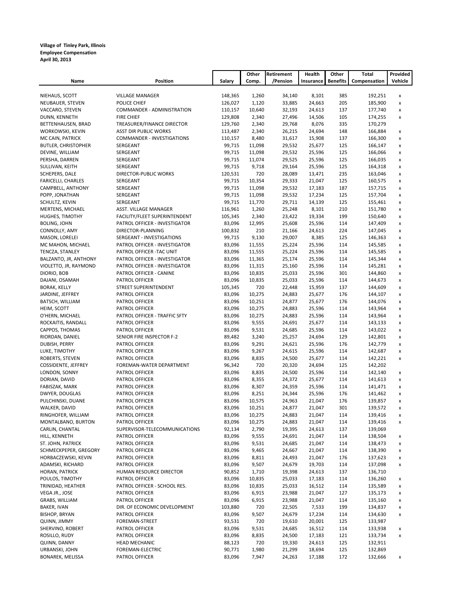#### **Village of Tinley Park, Illinois Employee Compensation April 30, 2013**

|                                         |                                                                |                    | Other           | Retirement       | Health           | Other           | Total              | Provided                                 |
|-----------------------------------------|----------------------------------------------------------------|--------------------|-----------------|------------------|------------------|-----------------|--------------------|------------------------------------------|
| Name                                    | <b>Position</b>                                                | Salary             | Comp.           | /Pension         | Insurance        | <b>Benefits</b> | Compensation       | Vehicle                                  |
|                                         |                                                                |                    |                 |                  |                  |                 |                    |                                          |
| NIEHAUS, SCOTT                          | <b>VILLAGE MANAGER</b>                                         | 148,365            | 1,260           | 34,140           | 8,101            | 385             | 192,251            | x                                        |
| NEUBAUER, STEVEN                        | POLICE CHIEF                                                   | 126,027            | 1,120<br>10,640 | 33,885           | 24,663           | 205             | 185,900            | $\pmb{\mathsf{x}}$                       |
| VACCARO, STEVEN<br>DUNN, KENNETH        | COMMANDER - ADMINISTRATION<br><b>FIRE CHIEF</b>                | 110,157<br>129,808 | 2,340           | 32,193<br>27,496 | 24,613<br>14,506 | 137<br>105      | 177,740<br>174,255 | $\pmb{\mathsf{x}}$<br>$\pmb{\mathsf{x}}$ |
| BETTENHAUSEN, BRAD                      | TREASURER/FINANCE DIRECTOR                                     | 129,760            | 2,340           | 29,768           | 8,076            | 335             | 170,279            |                                          |
| WORKOWSKI, KEVIN                        | <b>ASST DIR PUBLIC WORKS</b>                                   | 113,487            | 2,340           | 26,215           | 24,694           | 148             | 166,884            | x                                        |
| MC CAIN, PATRICK                        | COMMANDER - INVESTIGATIONS                                     | 110,157            | 8,480           | 31,617           | 15,908           | 137             | 166,300            | $\pmb{\mathsf{x}}$                       |
| <b>BUTLER, CHRISTOPHER</b>              | SERGEANT                                                       | 99,715             | 11,098          | 29,532           | 25,677           | 125             | 166,147            | $\pmb{\mathsf{x}}$                       |
| DEVINE, WILLIAM                         | SERGEANT                                                       | 99,715             | 11,098          | 29,532           | 25,596           | 125             | 166,066            | $\pmb{\mathsf{x}}$                       |
| PERSHA, DARREN                          | SERGEANT                                                       | 99,715             | 11,074          | 29,525           | 25,596           | 125             | 166,035            | $\pmb{\mathsf{x}}$                       |
| SULLIVAN, KEITH                         | SERGEANT                                                       | 99,715             | 9,718           | 29,164           | 25,596           | 125             | 164,318            | x                                        |
| SCHEPERS, DALE                          | <b>DIRECTOR-PUBLIC WORKS</b>                                   | 120,531            | 720             | 28,089           | 13,471           | 235             | 163,046            | x                                        |
| <b>FARICELLI, CHARLES</b>               | SERGEANT                                                       | 99,715             | 10,354          | 29,333           | 21,047           | 125             | 160,575            | x                                        |
| CAMPBELL, ANTHONY                       | SERGEANT                                                       | 99,715             | 11,098          | 29,532           | 17,183           | 187             | 157,715            | $\pmb{\mathsf{x}}$                       |
| POPP, JONATHAN                          | SERGEANT                                                       | 99,715             | 11,098          | 29,532           | 17,234           | 125             | 157,704            | x                                        |
| SCHULTZ, KEVIN                          | SERGEANT                                                       | 99,715             | 11,770          | 29,711           | 14,139           | 125             | 155,461            | x                                        |
| MERTENS, MICHAEL                        | ASST. VILLAGE MANAGER                                          | 116,961            | 1,260           | 25,248           | 8,101            | 210<br>199      | 151,780            | x                                        |
| HUGHES, TIMOTHY<br><b>BOLING, JOHN</b>  | FACILITY/FLEET SUPERINTENDENT<br>PATROL OFFICER - INVESTIGATOR | 105,345<br>83,096  | 2,340<br>12,995 | 23,422<br>25,608 | 19,334<br>25,596 | 114             | 150,640<br>147,409 | x<br>$\pmb{\mathsf{x}}$                  |
| CONNOLLY, AMY                           | DIRECTOR-PLANNING                                              | 100,832            | 210             | 21,166           | 24,613           | 224             | 147,045            | $\pmb{\mathsf{x}}$                       |
| MASON, LORELEI                          | SERGEANT - INVESTIGATIONS                                      | 99,715             | 9,130           | 29,007           | 8,385            | 125             | 146,363            | $\pmb{\mathsf{x}}$                       |
| MC MAHON, MICHAEL                       | PATROL OFFICER - INVESTIGATOR                                  | 83,096             | 11,555          | 25,224           | 25,596           | 114             | 145,585            | $\pmb{\mathsf{x}}$                       |
| TENCZA, STANLEY                         | PATROL OFFICER - TAC UNIT                                      | 83,096             | 11,555          | 25,224           | 25,596           | 114             | 145,585            | x                                        |
| BALZANTO, JR, ANTHONY                   | PATROL OFFICER - INVESTIGATOR                                  | 83,096             | 11,365          | 25,174           | 25,596           | 114             | 145,344            | x                                        |
| VIOLETTO, JR, RAYMOND                   | PATROL OFFICER - INVESTIGATOR                                  | 83,096             | 11,315          | 25,160           | 25,596           | 114             | 145,281            | $\pmb{\mathsf{x}}$                       |
| DIORIO, BOB                             | PATROL OFFICER - CANINE                                        | 83,096             | 10,835          | 25,033           | 25,596           | 301             | 144,860            | $\pmb{\mathsf{x}}$                       |
| DAJANI, OSAMAH                          | PATROL OFFICER                                                 | 83,096             | 10,835          | 25,033           | 25,596           | 114             | 144,673            | $\pmb{\mathsf{x}}$                       |
| <b>BORAK, KELLY</b>                     | STREET SUPERINTENDENT                                          | 105,345            | 720             | 22,448           | 15,959           | 137             | 144,609            | x                                        |
| JARDINE, JEFFREY                        | PATROL OFFICER                                                 | 83,096             | 10,275          | 24,883           | 25,677           | 176             | 144,107            | x                                        |
| BATSCH, WILLIAM                         | PATROL OFFICER                                                 | 83,096             | 10,251          | 24,877           | 25,677           | 176             | 144,076            | x                                        |
| HEIM, SCOTT                             | PATROL OFFICER                                                 | 83,096             | 10,275          | 24,883           | 25,596           | 114             | 143,964            | $\pmb{\mathsf{x}}$                       |
| O'HERN, MICHAEL                         | PATROL OFFICER - TRAFFIC SFTY                                  | 83,096             | 10,275          | 24,883           | 25,596           | 114             | 143,964            | $\pmb{\mathsf{x}}$                       |
| ROCKAITIS, RANDALL                      | PATROL OFFICER                                                 | 83,096             | 9,555           | 24,691           | 25,677           | 114             | 143,133            | $\pmb{\mathsf{x}}$                       |
| CAPPOS, THOMAS                          | PATROL OFFICER                                                 | 83,096             | 9,531           | 24,685           | 25,596           | 114             | 143,022            | x                                        |
| RIORDAN, DANIEL                         | SENIOR FIRE INSPECTOR F-2                                      | 89,482             | 3,240           | 25,257           | 24,694           | 129             | 142,801            | x                                        |
| DUBISH, PERRY<br>LUKE, TIMOTHY          | PATROL OFFICER<br>PATROL OFFICER                               | 83,096<br>83,096   | 9,291<br>9,267  | 24,621<br>24,615 | 25,596<br>25,596 | 176<br>114      | 142,779<br>142,687 | x<br>x                                   |
| ROBERTS, STEVEN                         | PATROL OFFICER                                                 | 83,096             | 8,835           | 24,500           | 25,677           | 114             | 142,221            | $\pmb{\mathsf{x}}$                       |
| COSSIDENTE, JEFFREY                     | FOREMAN-WATER DEPARTMENT                                       | 96,342             | 720             | 20,320           | 24,694           | 125             | 142,202            |                                          |
| LONDON, SONNY                           | PATROL OFFICER                                                 | 83,096             | 8,835           | 24,500           | 25,596           | 114             | 142,140            | x                                        |
| DORIAN, DAVID                           | PATROL OFFICER                                                 | 83,096             | 8,355           | 24,372           | 25,677           | 114             | 141,613            | x                                        |
| FABISZAK, MARK                          | PATROL OFFICER                                                 | 83,096             | 8,307           | 24,359           | 25,596           | 114             | 141,471            | $\pmb{\mathsf{x}}$                       |
| DWYER, DOUGLAS                          | PATROL OFFICER                                                 | 83,096             | 8,251           | 24,344           | 25,596           | 176             | 141,462            | $\pmb{\mathsf{x}}$                       |
| PULCHINSKI, DUANE                       | PATROL OFFICER                                                 | 83,096             | 10,575          | 24,963           | 21,047           | 176             | 139,857            | $\pmb{\mathsf{x}}$                       |
| WALKER, DAVID                           | PATROL OFFICER                                                 | 83,096             | 10,251          | 24,877           | 21,047           | 301             | 139,572            | $\pmb{\mathsf{x}}$                       |
| RINGHOFER, WILLIAM                      | PATROL OFFICER                                                 | 83,096             | 10,275          | 24,883           | 21,047           | 114             | 139,416            | X                                        |
| MONTALBANO, BURTON                      | PATROL OFFICER                                                 | 83,096             | 10,275          | 24,883           | 21,047           | 114             | 139,416            | x                                        |
| CARLIN, CHANTAL                         | SUPERVISOR-TELECOMMUNICATIONS                                  | 92,134             | 2,790           | 19,395           | 24,613           | 137             | 139,069            |                                          |
| HILL, KENNETH                           | PATROL OFFICER                                                 | 83,096             | 9,555           | 24,691           | 21,047           | 114             | 138,504            | X                                        |
| ST. JOHN, PATRICK                       | PATROL OFFICER                                                 | 83,096             | 9,531           | 24,685           | 21,047           | 114             | 138,473            | x                                        |
| SCHMECKPEPER, GREGORY                   | PATROL OFFICER                                                 | 83,096             | 9,465           | 24,667           | 21,047           | 114             | 138,390            | x                                        |
| HORBACZEWSKI, KEVIN<br>ADAMSKI, RICHARD | PATROL OFFICER<br>PATROL OFFICER                               | 83,096<br>83,096   | 8,811<br>9,507  | 24,493<br>24,679 | 21,047<br>19,703 | 176<br>114      | 137,623<br>137,098 | x                                        |
| HORAN, PATRICK                          | HUMAN RESOURCE DIRECTOR                                        | 90,852             | 1,710           | 19,398           | 24,613           | 137             | 136,710            | x                                        |
| POULOS, TIMOTHY                         | PATROL OFFICER                                                 | 83,096             | 10,835          | 25,033           | 17,183           | 114             | 136,260            | X                                        |
| TRINIDAD, HEATHER                       | PATROL OFFICER - SCHOOL RES.                                   | 83,096             | 10,835          | 25,033           | 16,512           | 114             | 135,589            | $\pmb{\mathsf{x}}$                       |
| VEGA JR., JOSE                          | PATROL OFFICER                                                 | 83,096             | 6,915           | 23,988           | 21,047           | 127             | 135,173            | x                                        |
| GRABS, WILLIAM                          | PATROL OFFICER                                                 | 83,096             | 6,915           | 23,988           | 21,047           | 114             | 135,160            | x                                        |
| <b>BAKER, IVAN</b>                      | DIR. OF ECONOMIC DEVELOPMENT                                   | 103,880            | 720             | 22,505           | 7,533            | 199             | 134,837            | x                                        |
| <b>BISHOP, BRYAN</b>                    | PATROL OFFICER                                                 | 83,096             | 9,507           | 24,679           | 17,234           | 114             | 134,630            | x                                        |
| QUINN, JIMMY                            | FOREMAN-STREET                                                 | 93,531             | 720             | 19,610           | 20,001           | 125             | 133,987            |                                          |
| SHERVINO, ROBERT                        | PATROL OFFICER                                                 | 83,096             | 9,531           | 24,685           | 16,512           | 114             | 133,938            | X                                        |
| ROSILLO, RUDY                           | PATROL OFFICER                                                 | 83,096             | 8,835           | 24,500           | 17,183           | 121             | 133,734            | $\pmb{\mathsf{x}}$                       |
| QUINN, DANNY                            | <b>HEAD MECHANIC</b>                                           | 88,123             | 720             | 19,330           | 24,613           | 125             | 132,911            |                                          |
| URBANSKI, JOHN                          | FOREMAN-ELECTRIC                                               | 90,771             | 1,980           | 21,299           | 18,694           | 125             | 132,869            |                                          |
| <b>BONAREK, MELISSA</b>                 | PATROL OFFICER                                                 | 83,096             | 7,947           | 24,263           | 17,188           | 172             | 132,666            | x                                        |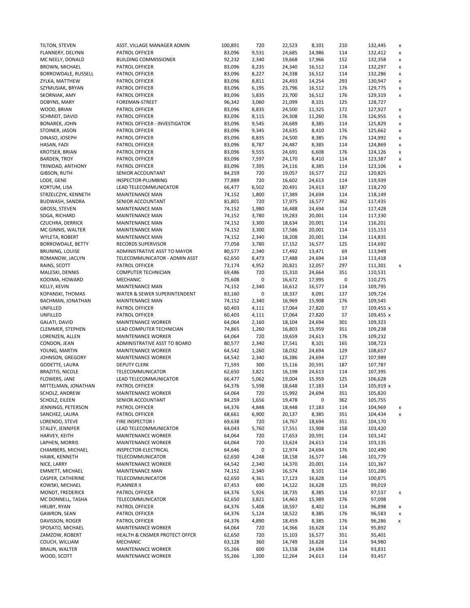| TILTON, STEVEN          | ASST. VILLAGE MANAGER ADMIN              | 100,891 | 720       | 22,523 | 8,101  | 210       | 132,445            | x                  |
|-------------------------|------------------------------------------|---------|-----------|--------|--------|-----------|--------------------|--------------------|
| FLANNERY, DELYNN        | PATROL OFFICER                           | 83,096  | 9,531     | 24,685 | 14,986 | 114       | 132,412            | x                  |
| MC NEELY, DONALD        | <b>BUILDING COMMISSIONER</b>             | 92,232  | 2,340     | 19,668 | 17,966 | 152       | 132,358            | x                  |
| BROWN, MICHAEL          | PATROL OFFICER                           | 83,096  | 8,235     | 24,340 | 16,512 | 114       | 132,297            | x                  |
| BORROWDALE, RUSSELL     | PATROL OFFICER                           | 83,096  | 8,227     | 24,338 | 16,512 | 114       | 132,286            | x                  |
| ZYLKA, MATTHEW          | PATROL OFFICER                           | 83,096  | 8,811     | 24,493 | 14,254 | 293       | 130,947            | x                  |
| SZYMUSIAK, BRYAN        | PATROL OFFICER                           | 83,096  | 6,195     | 23,796 | 16,512 | 176       | 129,775            | $\pmb{\mathsf{x}}$ |
| SKORNIAK, AMY           | PATROL OFFICER                           | 83,096  | 5,835     | 23,700 | 16,512 | 176       | 129,319            | x                  |
| DOBYNS, MARY            | FOREMAN-STREET                           | 96,342  | 3,060     | 21,099 | 8,101  | 125       | 128,727            |                    |
| WOOD, BRIAN             | PATROL OFFICER                           | 83,096  | 8,835     | 24,500 | 11,325 | 172       | 127,927            | X                  |
| SCHMIDT, DAVID          | PATROL OFFICER                           | 83,096  | 8,115     | 24,308 | 11,260 | 176       | 126,955            | x                  |
| <b>BONAREK, JOHN</b>    | PATROL OFFICER - INVESTIGATOR            | 83,096  | 9,545     | 24,689 | 8,385  | 114       | 125,829            | x                  |
| STOINER, JASON          | PATROL OFFICER                           | 83,096  | 9,345     | 24,635 | 8,410  | 176       | 125,662            | x                  |
| DINASO, JOSEPH          | PATROL OFFICER                           | 83,096  | 8,835     | 24,500 | 8,385  | 176       | 124,992            | x                  |
| HASAN, FADI             | PATROL OFFICER                           | 83,096  | 8,787     | 24,487 | 8,385  | 114       | 124,869            | x                  |
| KROTSER, BRIAN          | PATROL OFFICER                           | 83,096  | 9,555     | 24,691 | 6,608  | 176       | 124,126            | x                  |
| <b>BARDEN, TROY</b>     | PATROL OFFICER                           | 83,096  | 7,597     | 24,170 | 8,410  | 114       | 123,387            | x                  |
| TRINIDAD, ANTHONY       | PATROL OFFICER                           | 83,096  | 7,395     | 24,116 | 8,385  | 114       | 123,106            | x                  |
| GIBSON, RUTH            | SENIOR ACCOUNTANT                        | 84,259  | 720       | 19,057 | 16,577 | 212       | 120,825            |                    |
| LODE, GENE              | INSPECTOR-PLUMBING                       | 77,889  | 720       | 16,602 | 24,613 | 114       | 119,939            |                    |
| KORTUM, LISA            | LEAD TELECOMMUNICATOR                    | 66,477  | 6,502     | 20,491 | 24,613 | 187       | 118,270            |                    |
| STRZELCZYK, KENNETH     | <b>MAINTENANCE MAN</b>                   | 74,152  | 1,800     | 17,389 | 24,694 | 114       | 118,149            |                    |
|                         |                                          |         | 720       |        |        | 362       |                    |                    |
| BUDWASH, SANDRA         | SENIOR ACCOUNTANT                        | 81,801  |           | 17,975 | 16,577 |           | 117,435            |                    |
| GROSSI, STEVEN          | MAINTENANCE MAN                          | 74,152  | 1,980     | 16,488 | 24,694 | 114       | 117,428            |                    |
| SOGA, RICHARD           | MAINTENANCE MAN                          | 74,152  | 3,780     | 19,283 | 20,001 | 114       | 117,330            |                    |
| <b>CZUCHRA, DERRICK</b> | MAINTENANCE MAN                          | 74,152  | 3,300     | 18,634 | 20,001 | 114       | 116,201            |                    |
| MC GINNIS, WALTER       | MAINTENANCE MAN                          | 74,152  | 3,300     | 17,586 | 20,001 | 114       | 115,153            |                    |
| WYLETA, ROBERT          | MAINTENANCE MAN                          | 74,152  | 2,340     | 18,208 | 20,001 | 134       | 114,835            |                    |
| BORROWDALE, BETTY       | RECORDS SUPERVISOR                       | 77,058  | 3,780     | 17,152 | 16,577 | 125       | 114,692            |                    |
| <b>BRUNING, LOUISE</b>  | ADMINISTRATIVE ASST TO MAYOR             | 80,577  | 2,340     | 17,492 | 13,471 | 69        | 113,949            |                    |
| ROMANOW, JACLYN         | TELECOMMUNICATOR - ADMIN ASST            | 62,650  | 8,473     | 17,488 | 24,694 | 114       | 113,418            |                    |
| RAINS, SCOTT            | PATROL OFFICER                           | 73,174  | 4,952     | 20,821 | 12,057 | 297       | 111,301            | x                  |
| MALESKI, DENNIS         | <b>COMPUTER TECHNICIAN</b>               | 69,486  | 720       | 15,310 | 24,664 | 351       | 110,531            |                    |
| KOOIMA, HOWARD          | <b>MECHANIC</b>                          | 75,608  | 0         | 16,672 | 17,995 | $\pmb{0}$ | 110,275            |                    |
| KELLY, KEVIN            | MAINTENANCE MAN                          | 74,152  | 2,340     | 16,612 | 16,577 | 114       | 109,795            |                    |
| KOPANSKI, THOMAS        | WATER & SEWER SUPERINTENDENT             | 83,160  | $\pmb{0}$ | 18,337 | 8,091  | 137       | 109,724            |                    |
| BACHMAN, JONATHAN       | MAINTENANCE MAN                          | 74,152  | 2,340     | 16,969 | 15,908 | 176       | 109,545            |                    |
| UNFILLED                | PATROL OFFICER                           | 60,403  | 4,111     | 17,064 | 27,820 | 57        | 109,455 x          |                    |
| UNFILLED                | PATROL OFFICER                           | 60,403  | 4,111     | 17,064 | 27,820 | 57        | 109,455 x          |                    |
| <b>GALATI, DAVID</b>    | <b>MAINTENANCE WORKER</b>                | 64,064  | 2,160     | 18,104 | 24,694 | 301       | 109,323            |                    |
| CLEMMER, STEPHEN        | LEAD COMPUTER TECHNICIAN                 | 74,865  | 1,260     | 16,803 | 15,959 | 351       | 109,238            |                    |
| LORENZEN, ALLEN         | <b>MAINTENANCE WORKER</b>                | 64,064  | 720       | 19,659 | 24,613 | 176       | 109,232            |                    |
| CONDON, JEAN            | ADMINISTRATIVE ASST TO BOARD             | 80,577  | 2,340     | 17,541 | 8,101  | 165       | 108,723            |                    |
| YOUNG, MARTIN           | <b>MAINTENANCE WORKER</b>                | 64,542  | 1,260     | 18,032 | 24,694 | 129       | 108,657            |                    |
| JOHNSON, GREGORY        | MAINTENANCE WORKER                       | 64,542  | 2,340     | 16,286 | 24,694 | 127       | 107,989            |                    |
| GODETTE, LAURA          | <b>DEPUTY CLERK</b>                      | 71,593  | 300       | 15,116 | 20,591 | 187       | 107,787            |                    |
| <b>BRAZITIS, NICOLE</b> | TELECOMMUNICATOR                         | 62,650  | 3,821     | 16,198 | 24,613 | 114       | 107,395            |                    |
| FLOWERS, JANE           | LEAD TELECOMMUNICATOR                    | 66,477  | 5,062     | 19,004 | 15,959 | 125       | 106,628            |                    |
| MITTELMAN, JONATHAN     | PATROL OFFICER                           | 64,376  | 5,598     | 18,648 | 17,183 | 114       | 105,919 x          |                    |
| SCHOLZ, ANDREW          | MAINTENANCE WORKER                       | 64,064  | 720       | 15,992 | 24,694 | 351       | 105,820            |                    |
| SCHOLZ, EILEEN          |                                          | 84,259  |           |        | 0      |           |                    |                    |
| JENNINGS, PETERSON      | SENIOR ACCOUNTANT                        |         | 1,656     | 19,478 |        | 362       | 105,755<br>104,969 |                    |
|                         | PATROL OFFICER                           | 64,376  | 4,848     | 18,448 | 17,183 | 114       |                    | x                  |
| SANCHEZ, LAURA          | PATROL OFFICER                           | 68,661  | 6,900     | 20,137 | 8,385  | 351       | 104,434            | x                  |
| LORENDO, STEVE          | FIRE INSPECTOR I                         | 69,638  | 720       | 14,767 | 18,694 | 351       | 104,170            |                    |
| STALEY, JENNIFER        | LEAD TELECOMMUNICATOR                    | 64,043  | 5,760     | 17,551 | 15,908 | 158       | 103,420            |                    |
| HARVEY, KEITH           | MAINTENANCE WORKER                       | 64,064  | 720       | 17,653 | 20,591 | 114       | 103,142            |                    |
| LAPHEN, MORRIS          | MAINTENANCE WORKER                       | 64,064  | 720       | 13,624 | 24,613 | 114       | 103,135            |                    |
| CHAMBERS, MICHAEL       | INSPECTOR-ELECTRICAL                     | 64,646  | 0         | 12,974 | 24,694 | 176       | 102,490            |                    |
| HAWK, KENNETH           | TELECOMMUNICATOR                         | 62,650  | 4,248     | 18,158 | 16,577 | 146       | 101,779            |                    |
| NICE, LARRY             | MAINTENANCE WORKER                       | 64,542  | 2,340     | 14,370 | 20,001 | 114       | 101,367            |                    |
| <b>EMMETT, MICHAEL</b>  | MAINTENANCE MAN                          | 74,152  | 2,340     | 16,574 | 8,101  | 114       | 101,280            |                    |
| CASPER, CATHERINE       | TELECOMMUNICATOR                         | 62,650  | 4,361     | 17,123 | 16,628 | 114       | 100,875            |                    |
| KOWSKI, MICHAEL         | PLANNER II                               | 67,453  | 690       | 14,122 | 16,628 | 125       | 99,019             |                    |
| MONDT, FREDERICK        | PATROL OFFICER                           | 64,376  | 5,926     | 18,735 | 8,385  | 114       | 97,537             | x                  |
| MC DONNELL, TASHA       | TELECOMMUNICATOR                         | 62,650  | 3,821     | 14,463 | 15,989 | 176       | 97,098             |                    |
| HRUBY, RYAN             | PATROL OFFICER                           | 64,376  | 5,408     | 18,597 | 8,402  | 114       | 96,898             | x                  |
| GAWRON, SEAN            | PATROL OFFICER                           | 64,376  | 5,124     | 18,522 | 8,385  | 176       | 96,583             | x                  |
| DAVISSON, ROGER         | PATROL OFFICER                           | 64,376  | 4,890     | 18,459 | 8,385  | 176       | 96,286             | x                  |
| SPOSATO, MICHAEL        | MAINTENANCE WORKER                       | 64,064  | 720       | 14,366 | 16,628 | 114       | 95,892             |                    |
| ZAMZOW, ROBERT          | <b>HEALTH &amp; CNSMER PROTECT OFFCR</b> | 62,650  | 720       | 15,103 | 16,577 | 351       | 95,401             |                    |
| COUCH, WILLIAM          | MECHANIC                                 | 63,128  | 360       | 14,749 | 16,628 | 114       | 94,980             |                    |
| BRAUN, WALTER           | MAINTENANCE WORKER                       | 55,266  | 600       | 13,158 | 24,694 | 114       | 93,831             |                    |
| WOOD, SCOTT             | MAINTENANCE WORKER                       | 55,266  | 1,200     | 12,264 | 24,613 | 114       | 93,457             |                    |
|                         |                                          |         |           |        |        |           |                    |                    |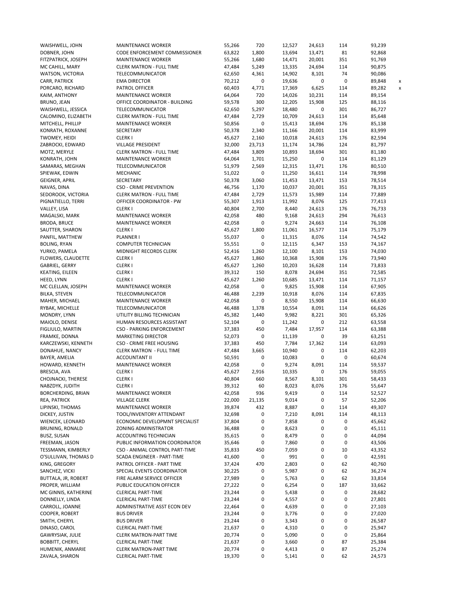| WAISHWELL, JOHN           | <b>MAINTENANCE WORKER</b>       | 55,266 | 720       | 12,527 | 24,613    | 114 | 93,239                             |
|---------------------------|---------------------------------|--------|-----------|--------|-----------|-----|------------------------------------|
| DOBNER, JOHN              | CODE ENFORCEMENT COMMISSIONER   | 63,822 | 1,800     | 13,694 | 13,471    | 81  | 92,868                             |
| FITZPATRICK, JOSEPH       | MAINTENANCE WORKER              | 55,266 | 1,680     | 14,471 | 20,001    | 351 | 91,769                             |
| MC CAHILL, MARY           | <b>CLERK MATRON - FULL TIME</b> | 47,484 | 5,249     | 13,335 | 24,694    | 114 | 90,875                             |
| WATSON, VICTORIA          | TELECOMMUNICATOR                | 62,650 | 4,361     | 14,902 | 8,101     | 74  | 90,086                             |
| CARR, PATRICK             | <b>EMA DIRECTOR</b>             | 70,212 | 0         | 19,636 | 0         | 0   | 89,848<br>$\lambda$                |
| PORCARO, RICHARD          | PATROL OFFICER                  | 60,403 | 4,771     | 17,369 | 6,625     | 114 | 89,282<br>$\overline{\phantom{a}}$ |
| KAIM, ANTHONY             | MAINTENANCE WORKER              | 64,064 | 720       | 14,026 | 10,231    | 114 | 89,154                             |
|                           | OFFICE COORDINATOR - BUILDING   |        | 300       |        | 15,908    | 125 |                                    |
| BRUNO, JEAN               |                                 | 59,578 |           | 12,205 |           |     | 88,116                             |
| WAISHWELL, JESSICA        | TELECOMMUNICATOR                | 62,650 | 5,297     | 18,480 | 0         | 301 | 86,727                             |
| CALOMINO, ELIZABETH       | <b>CLERK MATRON - FULL TIME</b> | 47,484 | 2,729     | 10,709 | 24,613    | 114 | 85,648                             |
| MITCHELL, PHILLIP         | MAINTENANCE WORKER              | 50,856 | 0         | 15,413 | 18,694    | 176 | 85,138                             |
| KONRATH, ROXANNE          | SECRETARY                       | 50,378 | 2,340     | 11,166 | 20,001    | 114 | 83,999                             |
| TWOMEY, HEIDI             | <b>CLERKI</b>                   | 45,627 | 2,160     | 10,018 | 24,613    | 176 | 82,594                             |
| ZABROCKI, EDWARD          | VILLAGE PRESIDENT               | 32,000 | 23,713    | 11,174 | 14,786    | 124 | 81,797                             |
| MOTZ, MERYLE              | <b>CLERK MATRON - FULL TIME</b> | 47,484 | 3,809     | 10,893 | 18,694    | 301 | 81,180                             |
| KONRATH, JOHN             | MAINTENANCE WORKER              | 64,064 | 1,701     | 15,250 | 0         | 114 | 81,129                             |
| SAMARAS, MEGHAN           | TELECOMMUNICATOR                | 51,979 | 2,569     | 12,315 | 13,471    | 176 | 80,510                             |
| SPIEWAK, EDWIN            | MECHANIC                        | 51,022 | 0         | 11,250 | 16,611    | 114 | 78,998                             |
| <b>GEIGNER, APRIL</b>     | SECRETARY                       | 50,378 | 3,060     | 11,453 | 13,471    | 153 | 78,514                             |
| NAVAS, DINA               | <b>CSO - CRIME PREVENTION</b>   | 46,756 | 1,170     | 10,037 | 20,001    | 351 | 78,315                             |
| SEDOROOK, VICTORIA        | <b>CLERK MATRON - FULL TIME</b> | 47,484 | 2,729     | 11,573 | 15,989    | 114 | 77,889                             |
| PIGNATIELLO, TERRI        | OFFICER COORDINATOR - PW        | 55,307 | 1,913     | 11,992 | 8,076     | 125 | 77,413                             |
|                           |                                 |        |           |        |           |     |                                    |
| VALLEY, LISA              | <b>CLERKI</b>                   | 40,804 | 2,700     | 8,440  | 24,613    | 176 | 76,733                             |
| MAGALSKI, MARK            | MAINTENANCE WORKER              | 42,058 | 480       | 9,168  | 24,613    | 294 | 76,613                             |
| BRODA, BRUCE              | <b>MAINTENANCE WORKER</b>       | 42,058 | 0         | 9,274  | 24,663    | 114 | 76,108                             |
| SAUTTER, SHARON           | <b>CLERKI</b>                   | 45,627 | 1,800     | 11,061 | 16,577    | 114 | 75,179                             |
| PANFIL, MATTHEW           | PLANNER I                       | 55,037 | 0         | 11,315 | 8,076     | 114 | 74,542                             |
| <b>BOLING, RYAN</b>       | <b>COMPUTER TECHNICIAN</b>      | 55,551 | 0         | 12,115 | 6,347     | 153 | 74,167                             |
| YURKO, PAMELA             | MIDNIGHT RECORDS CLERK          | 52,416 | 1,260     | 12,100 | 8,101     | 153 | 74,030                             |
| <b>FLOWERS, CLAUDETTE</b> | <b>CLERKI</b>                   | 45,627 | 1,860     | 10,368 | 15,908    | 176 | 73,940                             |
| GABRIEL, GERRY            | <b>CLERKI</b>                   | 45,627 | 1,260     | 10,203 | 16,628    | 114 | 73,833                             |
| KEATING, EILEEN           | <b>CLERKI</b>                   | 39,312 | 150       | 8,078  | 24,694    | 351 | 72,585                             |
| HEED, LYNN                | <b>CLERKI</b>                   | 45,627 | 1,260     | 10,685 | 13,471    | 114 | 71,157                             |
| MC CLELLAN, JOSEPH        | MAINTENANCE WORKER              | 42,058 | 0         | 9,825  | 15,908    | 114 | 67,905                             |
| <b>BILKA, STEVEN</b>      | TELECOMMUNICATOR                | 46,488 | 2,239     | 10,918 | 8,076     | 114 | 67,835                             |
|                           |                                 |        |           |        |           |     |                                    |
| MAHER, MICHAEL            | MAINTENANCE WORKER              | 42,058 | 0         | 8,550  | 15,908    | 114 | 66,630                             |
| RYBAK, MICHELLE           | TELECOMMUNICATOR                | 46,488 | 1,378     | 10,554 | 8,091     | 114 | 66,626                             |
| MONDRY, LYNN              | UTILITY BILLING TECHNICIAN      | 45,382 | 1,440     | 9,982  | 8,221     | 301 | 65,326                             |
| MAIOLO, DENISE            | HUMAN RESOURCES ASSISTANT       | 52,104 | $\pmb{0}$ | 11,242 | $\pmb{0}$ | 212 | 63,558                             |
| FIGLIULO, MARTIN          | CSO - PARKING ENFORCEMENT       | 37,383 | 450       | 7,484  | 17,957    | 114 | 63,388                             |
| FRAMKE, DONNA             | <b>MARKETING DIRECTOR</b>       | 52,073 | 0         | 11,139 | 0         | 39  | 63,251                             |
| KARCZEWSKI, KENNETH       | CSO - CRIME FREE HOUSING        | 37,383 | 450       | 7,784  | 17,362    | 114 | 63,093                             |
| DONAHUE, NANCY            | <b>CLERK MATRON - FULL TIME</b> | 47,484 | 3,665     | 10,940 | 0         | 114 | 62,203                             |
| BAYER, AMELIA             | <b>ACCOUNTANT II</b>            | 50,591 | 0         | 10,083 | 0         | 0   | 60,674                             |
| HOWARD, KENNETH           | <b>MAINTENANCE WORKER</b>       | 42,058 | 0         | 9,274  | 8,091     | 114 | 59,537                             |
| BRESCIA, AVA              | <b>CLERKI</b>                   | 45,627 | 2,916     | 10,335 | 0         | 176 | 59,055                             |
| CHOJNACKI, THERESE        | <b>CLERKI</b>                   | 40,804 | 660       | 8,567  | 8,101     | 301 | 58,433                             |
| NABZDYK, JUDITH           | <b>CLERKI</b>                   | 39,312 | 60        | 8,023  | 8,076     | 176 | 55,647                             |
|                           | <b>MAINTENANCE WORKER</b>       |        |           |        |           |     |                                    |
| BORCHERDING, BRIAN        |                                 | 42,058 | 936       | 9,419  | 0         | 114 | 52,527                             |
| REA, PATRICK              | <b>VILLAGE CLERK</b>            | 22,000 | 21,135    | 9,014  | 0         | 57  | 52,206                             |
| LIPINSKI, THOMAS          | MAINTENANCE WORKER              | 39,874 | 432       | 8,887  | 0         | 114 | 49,307                             |
| DICKEY, JUSTIN            | TOOL/INVENTORY ATTENDANT        | 32,698 | 0         | 7,210  | 8,091     | 114 | 48,113                             |
| WIENCEK, LEONARD          | ECONOMIC DEVELOPMNT SPECIALIST  | 37,804 | 0         | 7,858  | 0         | 0   | 45,662                             |
| BRUNING, RONALD           | ZONING ADMINISTRATOR            | 36,488 | 0         | 8,623  | 0         | 0   | 45,111                             |
| BUSZ, SUSAN               | ACCOUNTING TECHNICIAN           | 35,615 | 0         | 8,479  | 0         | 0   | 44,094                             |
| FREEMAN, JASON            | PUBLIC INFORMATION COORDINATOR  | 35,646 | 0         | 7,860  | 0         | 0   | 43,506                             |
| TESSMANN, KIMBERLY        | CSO - ANIMAL CONTROL PART-TIME  | 35,833 | 450       | 7,059  | 0         | 10  | 43,352                             |
| O'SULLIVAN, THOMAS D      | SCADA ENGINEER - PART-TIME      | 41,600 | 0         | 991    | 0         | 0   | 42,591                             |
| KING, GREGORY             | PATROL OFFICER - PART TIME      | 37,424 | 470       | 2,803  | 0         | 62  | 40,760                             |
| SANCHEZ, VICKI            | SPECIAL EVENTS COORDINATOR      | 30,225 | 0         | 5,987  | 0         | 62  | 36,274                             |
| BUTTALA, JR, ROBERT       | FIRE ALARM SERVICE OFFICER      | 27,989 | 0         |        | 0         | 62  | 33,814                             |
|                           |                                 |        |           | 5,763  |           |     |                                    |
| PROPER, WILLIAM           | PUBLIC EDUCATION OFFICER        | 27,222 | 0         | 6,254  | 0         | 187 | 33,662                             |
| MC GINNIS, KATHERINE      | <b>CLERICAL PART-TIME</b>       | 23,244 | 0         | 5,438  | 0         | 0   | 28,682                             |
| DONNELLY, LINDA           | <b>CLERICAL PART-TIME</b>       | 23,244 | 0         | 4,557  | 0         | 0   | 27,801                             |
| CARROLL, JOANNE           | ADMINISTRATIVE ASST ECON DEV    | 22,464 | 0         | 4,639  | 0         | 0   | 27,103                             |
| COOPER, ROBERT            | <b>BUS DRIVER</b>               | 23,244 | 0         | 3,776  | 0         | 0   | 27,020                             |
| SMITH, CHERYL             | <b>BUS DRIVER</b>               | 23,244 | 0         | 3,343  | 0         | 0   | 26,587                             |
| DINASO, CAROL             | <b>CLERICAL PART-TIME</b>       | 21,637 | 0         | 4,310  | 0         | 0   | 25,947                             |
| GAWRYSIAK, JULIE          | <b>CLERK MATRON-PART TIME</b>   | 20,774 | 0         | 5,090  | 0         | 0   | 25,864                             |
| <b>BOBBITT, CHERYL</b>    | <b>CLERICAL PART-TIME</b>       | 21,637 | 0         | 3,660  | 0         | 87  | 25,384                             |
| HUMENIK, ANMARIE          | <b>CLERK MATRON-PART TIME</b>   | 20,774 | 0         | 4,413  | 0         | 87  | 25,274                             |
| ZAVALA, SHARON            | <b>CLERICAL PART-TIME</b>       | 19,370 | 0         | 5,141  | 0         | 62  | 24,573                             |
|                           |                                 |        |           |        |           |     |                                    |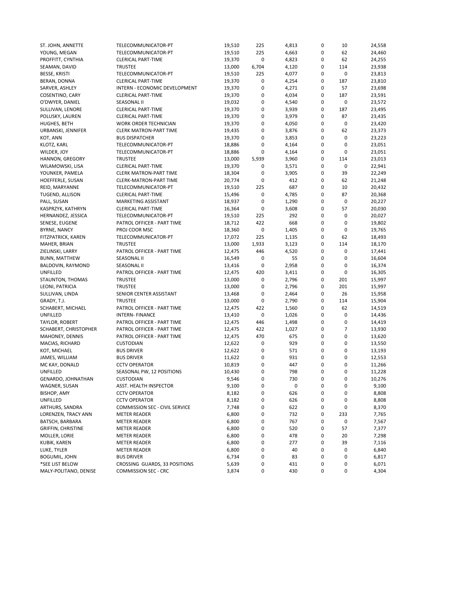| ST. JOHN, ANNETTE         | TELECOMMUNICATOR-PT            | 19,510 | 225         | 4,813       | 0      | 10          | 24,558           |
|---------------------------|--------------------------------|--------|-------------|-------------|--------|-------------|------------------|
| YOUNG, MEGAN              | TELECOMMUNICATOR-PT            | 19,510 | 225         | 4,663       | 0      | 62          | 24,460           |
| PROFFITT, CYNTHIA         | <b>CLERICAL PART-TIME</b>      | 19,370 | 0           | 4,823       | 0      | 62          | 24,255           |
| SEAMAN, DAVID             | <b>TRUSTEE</b>                 | 13,000 | 6,704       | 4,120       | 0      | 114         | 23,938           |
| <b>BESSE, KRISTI</b>      | TELECOMMUNICATOR-PT            | 19,510 | 225         | 4,077       | 0      | 0           | 23,813           |
| BERAN, DONNA              | <b>CLERICAL PART-TIME</b>      | 19,370 | 0           | 4,254       | 0      | 187         | 23,810           |
| SARVER, ASHLEY            | INTERN - ECONOMIC DEVELOPMENT  | 19,370 | 0           | 4,271       | 0      | 57          | 23,698           |
| <b>COSENTINO, CARY</b>    | <b>CLERICAL PART-TIME</b>      | 19,370 | 0           | 4,034       | 0      | 187         | 23,591           |
| O'DWYER, DANIEL           | SEASONAL II                    | 19,032 | 0           | 4,540       | 0      | 0           | 23,572           |
| SULLIVAN, LENORE          | <b>CLERICAL PART-TIME</b>      | 19,370 | 0           | 3,939       | 0      | 187         | 23,495           |
| POLUSKY, LAUREN           | <b>CLERICAL PART-TIME</b>      | 19,370 | 0           | 3,979       | 0      | 87          | 23,435           |
| HUGHES, BETH              | <b>WORK ORDER TECHNICIAN</b>   | 19,370 | 0           | 4,050       | 0      | 0           | 23,420           |
| URBANSKI, JENNIFER        | <b>CLERK MATRON-PART TIME</b>  | 19,435 | $\mathbf 0$ | 3,876       | 0      | 62          | 23,373           |
| KOT, ANN                  | <b>BUS DISPATCHER</b>          | 19,370 | 0           | 3,853       | 0      | 0           | 23,223           |
| KLOTZ, KARL               | TELECOMMUNICATOR-PT            | 18,886 | 0           | 4,164       | 0      | 0           | 23,051           |
| WILDER, JOY               | TELECOMMUNICATOR-PT            | 18,886 | 0           | 4,164       | 0      | 0           | 23,051           |
| HANNON, GREGORY           | <b>TRUSTEE</b>                 | 13,000 | 5,939       | 3,960       | 0      | 114         | 23,013           |
| WILAMOWSKI, LISA          | <b>CLERICAL PART-TIME</b>      | 19,370 | 0           | 3,571       | 0      | 0           | 22,941           |
| YOUNKER, PAMELA           | <b>CLERK MATRON-PART TIME</b>  | 18,304 | 0           | 3,905       | 0      | 39          | 22,249           |
| HOEFFERLE, SUSAN          | <b>CLERK-MATRON-PART TIME</b>  | 20,774 | 0           | 412         | 0      | 62          | 21,248           |
| REID, MARYANNE            | TELECOMMUNICATOR-PT            | 19,510 | 225         | 687         | 0      | 10          | 20,432           |
| TUGEND, ALLISON           | <b>CLERICAL PART-TIME</b>      | 15,496 | 0           | 4,785       | 0      | 87          | 20,368           |
| PALL, SUSAN               | MARKETING ASSISTANT            | 18,937 | $\mathbf 0$ | 1,290       | 0      | $\pmb{0}$   | 20,227           |
| KASPRZYK, KATHRYN         | <b>CLERICAL PART-TIME</b>      | 16,364 | 0           | 3,608       | 0      | 57          | 20,030           |
| HERNANDEZ, JESSICA        | TELECOMMUNICATOR-PT            | 19,510 | 225         | 292         | 0      | $\mathbf 0$ | 20,027           |
| SENESE, EUGENE            | PATROL OFFICER - PART TIME     | 18,712 | 422         | 668         | 0      | 0           | 19,802           |
| <b>BYRNE, NANCY</b>       | PROJ COOR MSC                  | 18,360 | 0           | 1,405       | 0      | 0           | 19,765           |
| FITZPATRICK, KAREN        | TELECOMMUNICATOR-PT            | 17,072 | 225         | 1,135       | 0      | 62          | 18,493           |
| MAHER, BRIAN              | <b>TRUSTEE</b>                 | 13,000 | 1,933       | 3,123       | 0      | 114         | 18,170           |
| ZIELINSKI, LARRY          | PATROL OFFICER - PART TIME     | 12,475 | 446         | 4,520       | 0      | 0           | 17,441           |
|                           | <b>SEASONAL II</b>             |        | 0           |             | 0      | 0           |                  |
| <b>BUNN, MATTHEW</b>      | SEASONAL II                    | 16,549 | $\mathbf 0$ | 55<br>2,958 | 0      | 0           | 16,604<br>16,374 |
| BALDOVIN, RAYMOND         |                                | 13,416 | 420         |             | 0      | 0           |                  |
| UNFILLED                  | PATROL OFFICER - PART TIME     | 12,475 |             | 3,411       |        |             | 16,305           |
| STAUNTON, THOMAS          | <b>TRUSTEE</b>                 | 13,000 | 0<br>0      | 2,796       | 0<br>0 | 201<br>201  | 15,997           |
| LEONI, PATRICIA           | <b>TRUSTEE</b>                 | 13,000 |             | 2,796       |        |             | 15,997           |
| SULLIVAN, LINDA           | SENIOR CENTER ASSISTANT        | 13,468 | 0           | 2,464       | 0      | 26          | 15,958           |
| GRADY, T.J.               | <b>TRUSTEE</b>                 | 13,000 | $\mathbf 0$ | 2,790       | 0      | 114         | 15,904           |
| SCHABERT, MICHAEL         | PATROL OFFICER - PART TIME     | 12,475 | 422         | 1,560       | 0      | 62          | 14,519           |
| UNFILLED                  | <b>INTERN- FINANCE</b>         | 13,410 | 0           | 1,026       | 0      | 0           | 14,436           |
| TAYLOR, ROBERT            | PATROL OFFICER - PART TIME     | 12,475 | 446         | 1,498       | 0      | 0           | 14,419           |
| SCHABERT, CHRISTOPHER     | PATROL OFFICER - PART TIME     | 12,475 | 422         | 1,027       | 0      | 7           | 13,930           |
| MAHONEY, DENNIS           | PATROL OFFICER - PART TIME     | 12,475 | 470         | 675         | 0      | 0           | 13,620           |
| MACIAS, RICHARD           | <b>CUSTODIAN</b>               | 12,622 | 0           | 929         | 0      | 0           | 13,550           |
| KOT, MICHAEL              | <b>BUS DRIVER</b>              | 12,622 | 0           | 571         | 0      | 0           | 13,193           |
| JAMES, WILLIAM            | <b>BUS DRIVER</b>              | 11,622 | 0           | 931         | 0      | 0           | 12,553           |
| MC KAY, DONALD            | <b>CCTV OPERATOR</b>           | 10,819 | 0           | 447         | 0      | 0           | 11,266           |
| UNFILLED                  | SEASONAL PW, 12 POSITIONS      | 10,430 | 0           | 798         | 0      | 0           | 11,228           |
| GENARDO, JOHNATHAN        | <b>CUSTODIAN</b>               | 9,546  | 0           | 730         | 0      | 0           | 10,276           |
| WAGNER, SUSAN             | ASST. HEALTH INSPECTOR         | 9,100  | 0           | 0           | 0      | $\Omega$    | 9,100            |
| BISHOP, AMY               | <b>CCTV OPERATOR</b>           | 8,182  | 0           | 626         | 0      | 0           | 8,808            |
| UNFILLED                  | <b>CCTV OPERATOR</b>           | 8,182  | 0           | 626         | 0      | 0           | 8,808            |
| ARTHURS, SANDRA           | COMMISSION SEC - CIVIL SERVICE | 7,748  | 0           | 622         | 0      | 0           | 8,370            |
| LORENZEN, TRACY ANN       | <b>METER READER</b>            | 6,800  | 0           | 732         | 0      | 233         | 7,765            |
| BATSCH, BARBARA           | <b>METER READER</b>            | 6,800  | 0           | 767         | 0      | 0           | 7,567            |
| <b>GRIFFIN, CHRISTINE</b> | <b>METER READER</b>            | 6,800  | 0           | 520         | 0      | 57          | 7,377            |
| MOLLER, LORIE             | <b>METER READER</b>            | 6,800  | 0           | 478         | 0      | 20          | 7,298            |
| KUBIK, KAREN              | <b>METER READER</b>            | 6,800  | 0           | 277         | 0      | 39          | 7,116            |
| LUKE, TYLER               | <b>METER READER</b>            | 6,800  | 0           | 40          | 0      | 0           | 6,840            |
| BOGUMIL, JOHN             | <b>BUS DRIVER</b>              | 6,734  | 0           | 83          | 0      | 0           | 6,817            |
| *SEE LIST BELOW           | CROSSING GUARDS, 33 POSITIONS  | 5,639  | 0           | 431         | 0      | 0           | 6,071            |
| MALY-POLITANO, DENISE     | <b>COMMISSION SEC - CRC</b>    | 3,874  | 0           | 430         | 0      | 0           | 4,304            |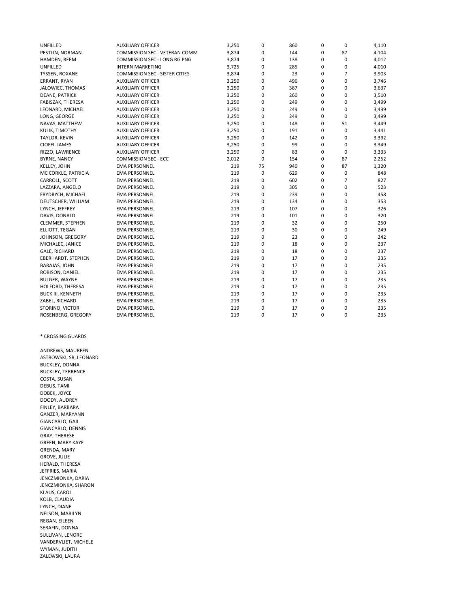| UNFILLED                  | <b>AUXILIARY OFFICER</b>              | 3,250 | 0  | 860 | 0        | 0           | 4,110 |
|---------------------------|---------------------------------------|-------|----|-----|----------|-------------|-------|
| PESTLIN, NORMAN           | COMMISSION SEC - VETERAN COMM         | 3,874 | 0  | 144 | 0        | 87          | 4,104 |
| HAMDEN, REEM              | COMMISSION SEC - LONG RG PNG          | 3,874 | 0  | 138 | 0        | 0           | 4,012 |
| UNFILLED                  | <b>INTERN MARKETING</b>               | 3,725 | 0  | 285 | 0        | 0           | 4,010 |
| TYSSEN, ROXANE            | <b>COMMISSION SEC - SISTER CITIES</b> | 3,874 | 0  | 23  | 0        | 7           | 3,903 |
| ERRANT, RYAN              | <b>AUXILIARY OFFICER</b>              | 3,250 | 0  | 496 | 0        | 0           | 3,746 |
| JALOWIEC, THOMAS          | <b>AUXILIARY OFFICER</b>              | 3,250 | 0  | 387 | 0        | 0           | 3,637 |
| <b>DEANE, PATRICK</b>     | <b>AUXILIARY OFFICER</b>              | 3,250 | 0  | 260 | 0        | $\Omega$    | 3,510 |
| FABISZAK, THERESA         | <b>AUXILIARY OFFICER</b>              | 3,250 | 0  | 249 | 0        | 0           | 3,499 |
| LEONARD, MICHAEL          | <b>AUXILIARY OFFICER</b>              | 3,250 | 0  | 249 | 0        | 0           | 3,499 |
| LONG, GEORGE              | <b>AUXILIARY OFFICER</b>              | 3,250 | 0  | 249 | 0        | 0           | 3,499 |
| NAVAS, MATTHEW            | <b>AUXILIARY OFFICER</b>              | 3,250 | 0  | 148 | 0        | 51          | 3,449 |
| KULIK, TIMOTHY            | <b>AUXILIARY OFFICER</b>              | 3,250 | 0  | 191 | 0        | 0           | 3,441 |
| TAYLOR, KEVIN             | <b>AUXILIARY OFFICER</b>              | 3,250 | 0  | 142 | 0        | 0           | 3,392 |
| CIOFFI, JAMES             | <b>AUXILIARY OFFICER</b>              | 3,250 | 0  | 99  | 0        | 0           | 3,349 |
| RIZZO, LAWRENCE           | <b>AUXILIARY OFFICER</b>              | 3,250 | 0  | 83  | 0        | $\mathbf 0$ | 3,333 |
| <b>BYRNE, NANCY</b>       | COMMISSION SEC - ECC                  | 2,012 | 0  | 154 | 0        | 87          | 2,252 |
| <b>KELLEY, JOHN</b>       | EMA PERSONNEL                         | 219   | 75 | 940 | 0        | 87          | 1,320 |
| MC CORKLE, PATRICIA       | EMA PERSONNEL                         | 219   | 0  | 629 | 0        | 0           | 848   |
| CARROLL, SCOTT            | EMA PERSONNEL                         | 219   | 0  | 602 | 0        | 7           | 827   |
| LAZZARA, ANGELO           | EMA PERSONNEL                         | 219   | 0  | 305 | 0        | $\mathbf 0$ | 523   |
| FRYDRYCH, MICHAEL         | EMA PERSONNEL                         | 219   | 0  | 239 | 0        | 0           | 458   |
| DEUTSCHER, WILLIAM        | <b>EMA PERSONNEL</b>                  | 219   | 0  | 134 | 0        | $\mathbf 0$ | 353   |
| LYNCH, JEFFREY            | <b>EMA PERSONNEL</b>                  | 219   | 0  | 107 | 0        | 0           | 326   |
| DAVIS, DONALD             | <b>EMA PERSONNEL</b>                  | 219   | 0  | 101 | 0        | 0           | 320   |
| <b>CLEMMER, STEPHEN</b>   | EMA PERSONNEL                         | 219   | 0  | 32  | 0        | 0           | 250   |
| ELLIOTT, TEGAN            | EMA PERSONNEL                         | 219   | 0  | 30  | 0        | 0           | 249   |
| JOHNSON, GREGORY          | EMA PERSONNEL                         | 219   | 0  | 23  | 0        | 0           | 242   |
| MICHALEC, JANICE          | EMA PERSONNEL                         | 219   | 0  | 18  | 0        | 0           | 237   |
| GALE, RICHARD             | <b>EMA PERSONNEL</b>                  | 219   | 0  | 18  | 0        | 0           | 237   |
| <b>EBERHARDT, STEPHEN</b> | <b>EMA PERSONNEL</b>                  | 219   | 0  | 17  | 0        | $\mathbf 0$ | 235   |
| <b>BARAJAS, JOHN</b>      | <b>EMA PERSONNEL</b>                  | 219   | 0  | 17  | 0        | 0           | 235   |
| ROBISON, DANIEL           | <b>EMA PERSONNEL</b>                  | 219   | 0  | 17  | 0        | $\mathbf 0$ | 235   |
| <b>BULGER, WAYNE</b>      | <b>EMA PERSONNEL</b>                  | 219   | 0  | 17  | 0        | 0           | 235   |
| HOLFORD, THERESA          | <b>EMA PERSONNEL</b>                  | 219   | 0  | 17  | 0        | 0           | 235   |
| <b>BUCK III, KENNETH</b>  | <b>EMA PERSONNEL</b>                  | 219   | 0  | 17  | 0        | 0           | 235   |
| ZABEL, RICHARD            | <b>EMA PERSONNEL</b>                  | 219   | 0  | 17  | 0        | 0           | 235   |
| STORINO, VICTOR           | <b>EMA PERSONNEL</b>                  | 219   | 0  | 17  | 0        | 0           | 235   |
| ROSENBERG, GREGORY        | <b>EMA PERSONNEL</b>                  | 219   | 0  | 17  | $\Omega$ | $\Omega$    | 235   |

#### \* CROSSING GUARDS

ANDREWS, MAUREEN ASTROWSKI, SR, LEONARD BUCKLEY, DONNA BUCKLEY, TERRENCE COSTA, SUSAN DEBUS, TAMI DOBEK, JOYCE DOODY, AUDREY FINLEY, BARBARA GANZER, MARYANN GIANCARLO, GAIL GIANCARLO, DENNIS GRAY, THERESE GREEN, MARY KAYE GRENDA, MARY GROVE, JULIE HERALD, THERESA JEFFRIES, MARIA JENCZMIONKA, DARIA JENCZMIONKA, SHARON KLAUS, CAROL KOLB, CLAUDIA LYNCH, DIANE NELSON, MARILYN REGAN, EILEEN SERAFIN, DONNA SULLIVAN, LENORE VANDERVLIET, MICHELE WYMAN, JUDITH ZALEWSKI, LAURA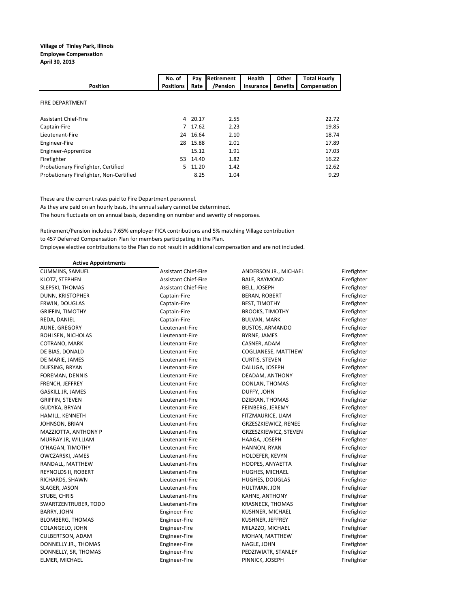### **Village of Tinley Park, Illinois Employee Compensation**

**April 30, 2013**

|                                         | No. of           | Pay      | Retirement | Health    |                 | <b>Total Hourly</b> |
|-----------------------------------------|------------------|----------|------------|-----------|-----------------|---------------------|
| <b>Position</b>                         | <b>Positions</b> | Rate     | /Pension   | Insurance | <b>Benefits</b> | Compensation        |
| <b>FIRE DEPARTMENT</b>                  |                  |          |            |           |                 |                     |
| <b>Assistant Chief-Fire</b>             | 4                | 20.17    | 2.55       |           |                 | 22.72               |
| Captain-Fire                            |                  | 7 17.62  | 2.23       |           |                 | 19.85               |
| Lieutenant-Fire                         |                  | 24 16.64 | 2.10       |           |                 | 18.74               |
| Engineer-Fire                           | 28               | 15.88    | 2.01       |           |                 | 17.89               |
| Engineer-Apprentice                     |                  | 15.12    | 1.91       |           |                 | 17.03               |
| Firefighter                             | 53               | 14.40    | 1.82       |           |                 | 16.22               |
| Probationary Firefighter, Certified     | 5.               | 11.20    | 1.42       |           |                 | 12.62               |
| Probationary Firefighter, Non-Certified |                  | 8.25     | 1.04       |           |                 | 9.29                |

These are the current rates paid to Fire Department personnel.

As they are paid on an hourly basis, the annual salary cannot be determined.

The hours fluctuate on on annual basis, depending on number and severity of responses.

Retirement/Pension includes 7.65% employer FICA contributions and 5% matching Village contribution to 457 Deferred Compensation Plan for members participating in the Plan. Employee elective contributions to the Plan do not result in additional compensation and are not included.

| <b>Active Appointments</b> |                             |                         |             |
|----------------------------|-----------------------------|-------------------------|-------------|
| <b>CUMMINS, SAMUEL</b>     | <b>Assistant Chief-Fire</b> | ANDERSON JR., MICHAEL   | Firefighter |
| KLOTZ, STEPHEN             | Assistant Chief-Fire        | BALE, RAYMOND           | Firefighter |
| SLEPSKI, THOMAS            | Assistant Chief-Fire        | <b>BELL, JOSEPH</b>     | Firefighter |
| DUNN, KRISTOPHER           | Captain-Fire                | BERAN, ROBERT           | Firefighter |
| ERWIN, DOUGLAS             | Captain-Fire                | <b>BEST, TIMOTHY</b>    | Firefighter |
| <b>GRIFFIN, TIMOTHY</b>    | Captain-Fire                | <b>BROOKS, TIMOTHY</b>  | Firefighter |
| REDA, DANIEL               | Captain-Fire                | <b>BULVAN, MARK</b>     | Firefighter |
| AUNE, GREGORY              | Lieutenant-Fire             | <b>BUSTOS, ARMANDO</b>  | Firefighter |
| <b>BOHLSEN, NICHOLAS</b>   | Lieutenant-Fire             | BYRNE, JAMES            | Firefighter |
| COTRANO, MARK              | Lieutenant-Fire             | CASNER, ADAM            | Firefighter |
| DE BIAS, DONALD            | Lieutenant-Fire             | COGLIANESE, MATTHEW     | Firefighter |
| DE MARIE, JAMES            | Lieutenant-Fire             | <b>CURTIS, STEVEN</b>   | Firefighter |
| DUESING, BRYAN             | Lieutenant-Fire             | DALUGA, JOSEPH          | Firefighter |
| FOREMAN, DENNIS            | Lieutenant-Fire             | DEADAM, ANTHONY         | Firefighter |
| FRENCH, JEFFREY            | Lieutenant-Fire             | DONLAN, THOMAS          | Firefighter |
| GASKILL JR, JAMES          | Lieutenant-Fire             | DUFFY, JOHN             | Firefighter |
| <b>GRIFFIN, STEVEN</b>     | Lieutenant-Fire             | DZIEKAN, THOMAS         | Firefighter |
| GUDYKA, BRYAN              | Lieutenant-Fire             | FEINBERG, JEREMY        | Firefighter |
| HAMILL, KENNETH            | Lieutenant-Fire             | FITZMAURICE, LIAM       | Firefighter |
| JOHNSON, BRIAN             | Lieutenant-Fire             | GRZESZKIEWICZ, RENEE    | Firefighter |
| MAZZIOTTA, ANTHONY P       | Lieutenant-Fire             | GRZESZKIEWICZ, STEVEN   | Firefighter |
| MURRAY JR, WILLIAM         | Lieutenant-Fire             | HAAGA, JOSEPH           | Firefighter |
| O'HAGAN, TIMOTHY           | Lieutenant-Fire             | HANNON, RYAN            | Firefighter |
| OWCZARSKI, JAMES           | Lieutenant-Fire             | HOLDEFER, KEVYN         | Firefighter |
| RANDALL, MATTHEW           | Lieutenant-Fire             | HOOPES, ANYAETTA        | Firefighter |
| REYNOLDS II, ROBERT        | Lieutenant-Fire             | HUGHES, MICHAEL         | Firefighter |
| RICHARDS, SHAWN            | Lieutenant-Fire             | HUGHES, DOUGLAS         | Firefighter |
| SLAGER, JASON              | Lieutenant-Fire             | HULTMAN, JON            | Firefighter |
| STUBE, CHRIS               | Lieutenant-Fire             | KAHNE, ANTHONY          | Firefighter |
| SWARTZENTRUBER, TODD       | Lieutenant-Fire             | <b>KRASNECK, THOMAS</b> | Firefighter |
| <b>BARRY, JOHN</b>         | Engineer-Fire               | KUSHNER, MICHAEL        | Firefighter |
| <b>BLOMBERG, THOMAS</b>    | Engineer-Fire               | KUSHNER, JEFFREY        | Firefighter |
| COLANGELO, JOHN            | Engineer-Fire               | MILAZZO, MICHAEL        | Firefighter |
| <b>CULBERTSON, ADAM</b>    | Engineer-Fire               | MOHAN, MATTHEW          | Firefighter |
| DONNELLY JR., THOMAS       | Engineer-Fire               | NAGLE, JOHN             | Firefighter |
| DONNELLY, SR, THOMAS       | Engineer-Fire               | PEDZIWIATR, STANLEY     | Firefighter |
| ELMER, MICHAEL             | Engineer-Fire               | PINNICK, JOSEPH         | Firefighter |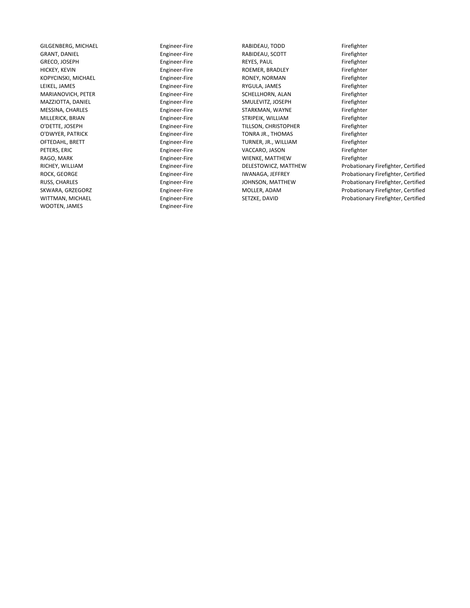GRANT, DANIEL Engineer-Fire Fire RABIDEAU, SCOTT<br>GRECO, JOSEPH Fighter-Fire REYES, PAUL WOOTEN, JAMES **Engineer-Fire** 

GILGENBERG, MICHAEL Engineer-Fire RABIDEAU, TODD Firefighter GRECO, JOSEPH Engineer-Fire REYES, PAUL Firefighter HICKEY, KEVIN Engineer-Fire ROEMER, BRADLEY Firefighter KOPYCINSKI, MICHAEL **Engineer-Fire Film Engineer-Fire** RONEY, NORMAN Firefighter LEIKEL, JAMES Firefighter Engineer-Fire Engineer-Fire RYGULA, JAMES Firefighter<br>MARIANOVICH, PETER Firefighter Engineer-Fire SCHELLHORN, ALAN Firefighter MARIANOVICH, PETER ENGINEER Engineer-Fire SCHELLHORN, ALAN SCHELLHORN, ALAN Firefighter<br>MAZZIOTTA, DANIEL Engineer-Fire SMULEVITZ, JOSEPH Firefighter MAZZIOTTA, DANIEL Engineer-Fire SMULEVITZ, JOSEPH Firefighter MESSINA, CHARLES Engineer-Fire STARKMAN, WAYNE Firefighter STRIPEIK, WILLIAM O'DETTE, JOSEPH Engineer-Fire TILLSON, CHRISTOPHER Firefighter O'DWYER, PATRICK Fire Engineer-Fire TONRA JR., THOMAS Firefighter OFTEDAHL, BRETT Engineer-Fire TURNER, JR., WILLIAM Firefighter PETERS, ERIC Engineer-Fire VACCARO, JASON Firefighter WIENKE, MATTHEW

RICHEY, WILLIAM **Engineer-Fire** DELESTOWICZ, MATTHEW Probationary Firefighter, Certified ROCK, GEORGE **Engineer-Fire** IWANAGA, JEFFREY Probationary Firefighter, Certified RUSS, CHARLES **Engineer-Fire** JOHNSON, MATTHEW Probationary Firefighter, Certified SKWARA, GRZEGORZ **Engineer-Fire** MOLLER, ADAM Probationary Firefighter, Certified WITTMAN, MICHAEL **Engineer-Fire** SETZKE, DAVID Probationary Firefighter, Certified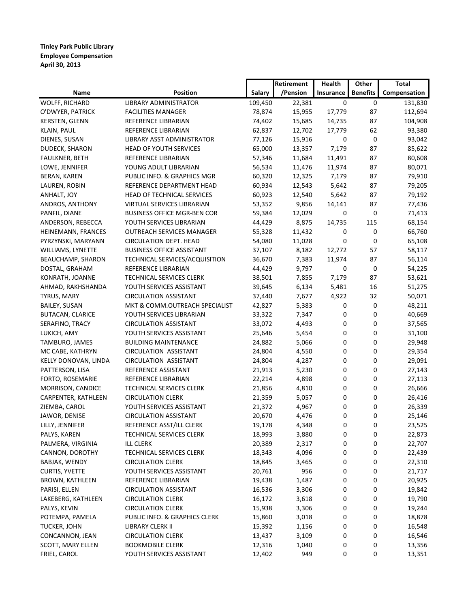**Tinley Park Public Library Employee Compensation April 30, 2013**

|                         |                                    |         | Retirement | <b>Health</b> | Other           | Total        |
|-------------------------|------------------------------------|---------|------------|---------------|-----------------|--------------|
| <b>Name</b>             | <b>Position</b>                    | Salary  | /Pension   | Insurance     | <b>Benefits</b> | Compensation |
| WOLFF, RICHARD          | LIBRARY ADMINISTRATOR              | 109,450 | 22,381     | 0             | 0               | 131,830      |
| O'DWYER, PATRICK        | <b>FACILITIES MANAGER</b>          | 78,874  | 15,955     | 17,779        | 87              | 112,694      |
| <b>KERSTEN, GLENN</b>   | REFERENCE LIBRARIAN                | 74,402  | 15,685     | 14,735        | 87              | 104,908      |
| KLAIN, PAUL             | REFERENCE LIBRARIAN                | 62,837  | 12,702     | 17,779        | 62              | 93,380       |
| DIENES, SUSAN           | LIBRARY ASST ADMINISTRATOR         | 77,126  | 15,916     | 0             | 0               | 93,042       |
| DUDECK, SHARON          | HEAD OF YOUTH SERVICES             | 65,000  | 13,357     | 7,179         | 87              | 85,622       |
| FAULKNER, BETH          | REFERENCE LIBRARIAN                | 57,346  | 11,684     | 11,491        | 87              | 80,608       |
| LOWE, JENNIFER          | YOUNG ADULT LIBRARIAN              | 56,534  | 11,476     | 11,974        | 87              | 80,071       |
| BERAN, KAREN            | PUBLIC INFO. & GRAPHICS MGR        | 60,320  | 12,325     | 7,179         | 87              | 79,910       |
| LAUREN, ROBIN           | REFERENCE DEPARTMENT HEAD          | 60,934  | 12,543     | 5,642         | 87              | 79,205       |
| ANHALT, JOY             | HEAD OF TECHNICAL SERVICES         | 60,923  | 12,540     | 5,642         | 87              | 79,192       |
| ANDROS, ANTHONY         | VIRTUAL SERVICES LIBRARIAN         | 53,352  | 9,856      | 14,141        | 87              | 77,436       |
| PANFIL, DIANE           | <b>BUSINESS OFFICE MGR-BEN COR</b> | 59,384  | 12,029     | 0             | 0               | 71,413       |
| ANDERSON, REBECCA       | YOUTH SERVICES LIBRARIAN           | 44,429  | 8,875      | 14,735        | 115             | 68,154       |
| HEINEMANN, FRANCES      | <b>OUTREACH SERVICES MANAGER</b>   | 55,328  | 11,432     | 0             | 0               | 66,760       |
| PYRZYNSKI, MARYANN      | <b>CIRCULATION DEPT. HEAD</b>      | 54,080  | 11,028     | 0             | 0               | 65,108       |
| WILLIAMS, LYNETTE       | <b>BUSINESS OFFICE ASSISTANT</b>   | 37,107  | 8,182      | 12,772        | 57              | 58,117       |
| BEAUCHAMP, SHARON       | TECHNICAL SERVICES/ACQUISITION     | 36,670  | 7,383      | 11,974        | 87              | 56,114       |
| DOSTAL, GRAHAM          | REFERENCE LIBRARIAN                | 44,429  | 9,797      | 0             | 0               | 54,225       |
| KONRATH, JOANNE         | TECHNICAL SERVICES CLERK           | 38,501  | 7,855      | 7,179         | 87              | 53,621       |
| AHMAD, RAKHSHANDA       | YOUTH SERVICES ASSISTANT           | 39,645  | 6,134      | 5,481         | 16              | 51,275       |
| TYRUS, MARY             | <b>CIRCULATION ASSISTANT</b>       | 37,440  | 7,677      | 4,922         | 32              | 50,071       |
| <b>BAILEY, SUSAN</b>    | MKT & COMM.OUTREACH SPECIALIST     | 42,827  | 5,383      | 0             | 0               | 48,211       |
| <b>BUTACAN, CLARICE</b> | YOUTH SERVICES LIBRARIAN           | 33,322  | 7,347      | 0             | 0               | 40,669       |
| SERAFINO, TRACY         | <b>CIRCULATION ASSISTANT</b>       | 33,072  | 4,493      | 0             | 0               | 37,565       |
| LUKICH, AMY             | YOUTH SERVICES ASSISTANT           | 25,646  | 5,454      | 0             | 0               | 31,100       |
| TAMBURO, JAMES          | <b>BUILDING MAINTENANCE</b>        | 24,882  | 5,066      | 0             | 0               | 29,948       |
| MC CABE, KATHRYN        | <b>CIRCULATION ASSISTANT</b>       | 24,804  | 4,550      | 0             | 0               | 29,354       |
| KELLY DONOVAN, LINDA    | <b>CIRCULATION ASSISTANT</b>       | 24,804  | 4,287      | 0             | 0               | 29,091       |
| PATTERSON, LISA         | REFERENCE ASSISTANT                | 21,913  | 5,230      | 0             | 0               | 27,143       |
| FORTO, ROSEMARIE        | REFERENCE LIBRARIAN                | 22,214  | 4,898      | 0             | 0               | 27,113       |
| MORRISON, CANDICE       | <b>TECHNICAL SERVICES CLERK</b>    | 21,856  | 4,810      | 0             | 0               | 26,666       |
| CARPENTER, KATHLEEN     | <b>CIRCULATION CLERK</b>           | 21,359  | 5,057      | 0             | 0               | 26,416       |
| ZIEMBA, CAROL           | YOUTH SERVICES ASSISTANT           | 21,372  | 4,967      | 0             | 0               | 26,339       |
| JAWOR, DENISE           | <b>CIRCULATION ASSISTANT</b>       | 20,670  | 4,476      | 0             | 0               | 25,146       |
| LILLY, JENNIFER         | REFERENCE ASST/ILL CLERK           | 19,178  | 4,348      | 0             | 0               | 23,525       |
| PALYS, KAREN            | TECHNICAL SERVICES CLERK           | 18,993  | 3,880      | 0             | 0               | 22,873       |
| PALMERA, VIRGINIA       | <b>ILL CLERK</b>                   | 20,389  | 2,317      | 0             | 0               | 22,707       |
| CANNON, DOROTHY         | TECHNICAL SERVICES CLERK           | 18,343  | 4,096      | 0             | 0               | 22,439       |
| BABJAK, WENDY           | <b>CIRCULATION CLERK</b>           | 18,845  | 3,465      | 0             | 0               | 22,310       |
| <b>CURTIS, YVETTE</b>   | YOUTH SERVICES ASSISTANT           | 20,761  | 956        | 0             | 0               | 21,717       |
| <b>BROWN, KATHLEEN</b>  | REFERENCE LIBRARIAN                | 19,438  | 1,487      | 0             | 0               | 20,925       |
| PARISI, ELLEN           | CIRCULATION ASSISTANT              | 16,536  | 3,306      | 0             | 0               | 19,842       |
| LAKEBERG, KATHLEEN      | <b>CIRCULATION CLERK</b>           | 16,172  | 3,618      | 0             | 0               | 19,790       |
| PALYS, KEVIN            | <b>CIRCULATION CLERK</b>           | 15,938  | 3,306      | 0             | 0               | 19,244       |
| POTEMPA, PAMELA         | PUBLIC INFO. & GRAPHICS CLERK      | 15,860  | 3,018      | 0             | 0               | 18,878       |
| TUCKER, JOHN            | LIBRARY CLERK II                   | 15,392  | 1,156      | 0             | 0               | 16,548       |
| CONCANNON, JEAN         | <b>CIRCULATION CLERK</b>           | 13,437  | 3,109      | 0             | 0               | 16,546       |
| SCOTT, MARY ELLEN       | <b>BOOKMOBILE CLERK</b>            | 12,316  | 1,040      | 0             | 0               | 13,356       |
| FRIEL, CAROL            | YOUTH SERVICES ASSISTANT           | 12,402  | 949        | 0             | 0               | 13,351       |